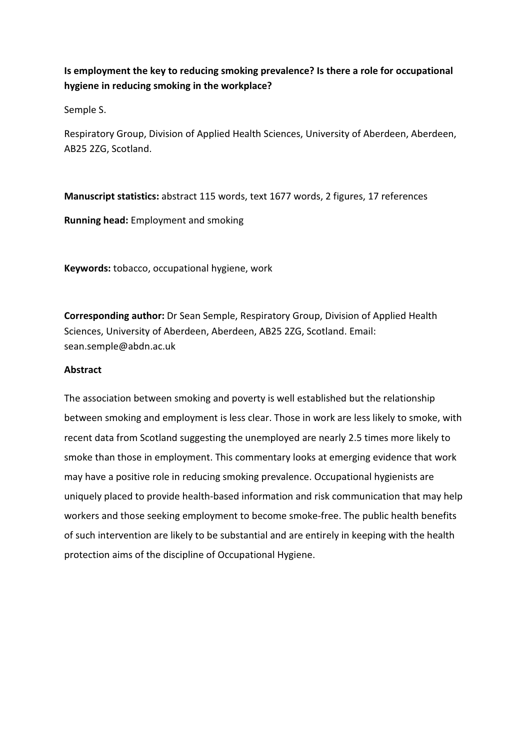# Is employment the key to reducing smoking prevalence? Is there a role for occupational hygiene in reducing smoking in the workplace?

Semple S.

Respiratory Group, Division of Applied Health Sciences, University of Aberdeen, Aberdeen, AB25 2ZG, Scotland.

Manuscript statistics: abstract 115 words, text 1677 words, 2 figures, 17 references Running head: Employment and smoking

Keywords: tobacco, occupational hygiene, work

Corresponding author: Dr Sean Semple, Respiratory Group, Division of Applied Health Sciences, University of Aberdeen, Aberdeen, AB25 2ZG, Scotland. Email: sean.semple@abdn.ac.uk

# Abstract

The association between smoking and poverty is well established but the relationship between smoking and employment is less clear. Those in work are less likely to smoke, with recent data from Scotland suggesting the unemployed are nearly 2.5 times more likely to smoke than those in employment. This commentary looks at emerging evidence that work may have a positive role in reducing smoking prevalence. Occupational hygienists are uniquely placed to provide health-based information and risk communication that may help workers and those seeking employment to become smoke-free. The public health benefits of such intervention are likely to be substantial and are entirely in keeping with the health protection aims of the discipline of Occupational Hygiene.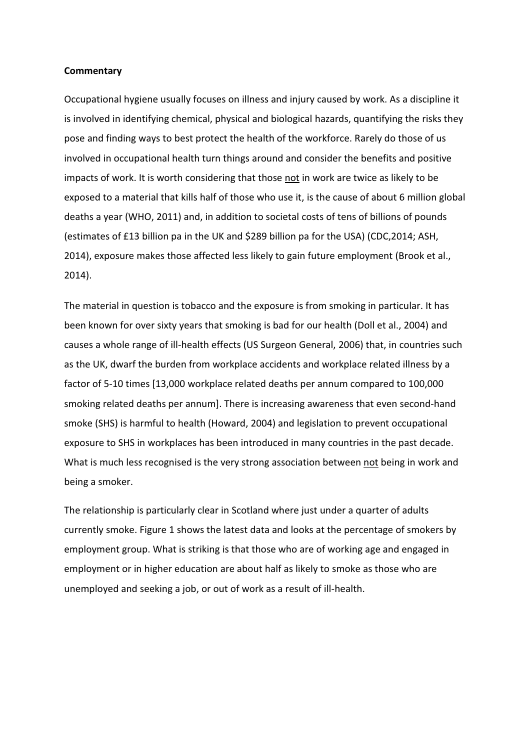#### **Commentary**

Occupational hygiene usually focuses on illness and injury caused by work. As a discipline it is involved in identifying chemical, physical and biological hazards, quantifying the risks they pose and finding ways to best protect the health of the workforce. Rarely do those of us involved in occupational health turn things around and consider the benefits and positive impacts of work. It is worth considering that those not in work are twice as likely to be exposed to a material that kills half of those who use it, is the cause of about 6 million global deaths a year (WHO, 2011) and, in addition to societal costs of tens of billions of pounds (estimates of £13 billion pa in the UK and \$289 billion pa for the USA) (CDC,2014; ASH, 2014), exposure makes those affected less likely to gain future employment (Brook et al., 2014).

The material in question is tobacco and the exposure is from smoking in particular. It has been known for over sixty years that smoking is bad for our health (Doll et al., 2004) and causes a whole range of ill-health effects (US Surgeon General, 2006) that, in countries such as the UK, dwarf the burden from workplace accidents and workplace related illness by a factor of 5-10 times [13,000 workplace related deaths per annum compared to 100,000 smoking related deaths per annum]. There is increasing awareness that even second-hand smoke (SHS) is harmful to health (Howard, 2004) and legislation to prevent occupational exposure to SHS in workplaces has been introduced in many countries in the past decade. What is much less recognised is the very strong association between not being in work and being a smoker.

The relationship is particularly clear in Scotland where just under a quarter of adults currently smoke. Figure 1 shows the latest data and looks at the percentage of smokers by employment group. What is striking is that those who are of working age and engaged in employment or in higher education are about half as likely to smoke as those who are unemployed and seeking a job, or out of work as a result of ill-health.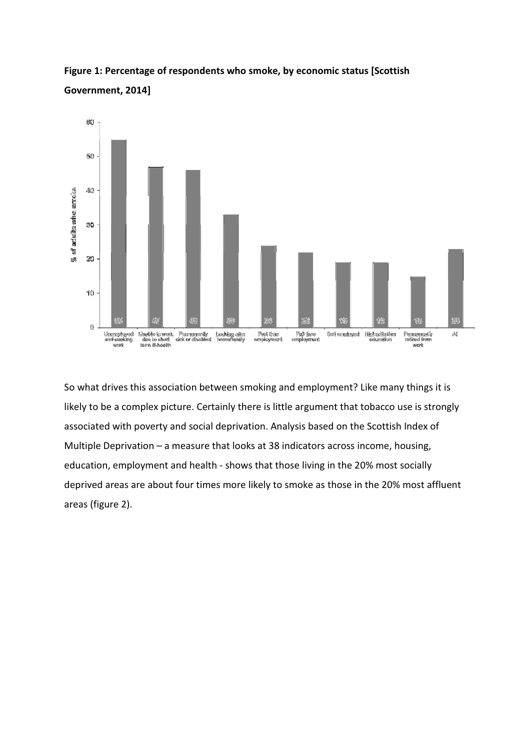



So what drives this association between smoking and employment? Like many things it is likely to be a complex picture. Certainly there is little argument that tobacco use is strongly associated with poverty and social deprivation. Analysis based on the Scottish Index of Multiple Deprivation – a measure that looks at 38 indicators across income, housing, education, employment and health - shows that those living in the 20% most socially deprived areas are about four times more likely to smoke as those in the 20% most affluent areas (figure 2).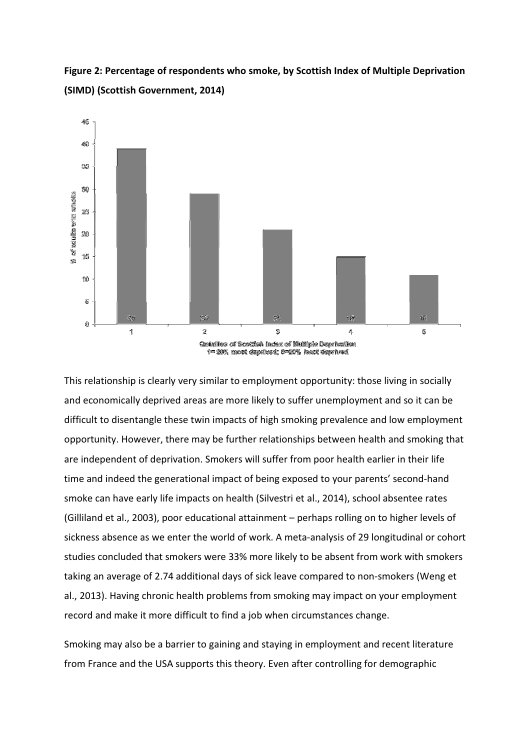Figure 2: Percentage of respondents who smoke, by Scottish Index of Multiple Deprivation (SIMD) (Scottish Government, 2014)



This relationship is clearly very similar to employment opportunity: those living in socially and economically deprived areas are more likely to suffer unemployment and so it can be difficult to disentangle these twin impacts of high smoking prevalence and low employment opportunity. However, there may be further relationships between health and smoking that are independent of deprivation. Smokers will suffer from poor health earlier in their life time and indeed the generational impact of being exposed to your parents' second-hand smoke can have early life impacts on health (Silvestri et al., 2014), school absentee rates (Gilliland et al., 2003), poor educational attainment – perhaps rolling on to higher levels of sickness absence as we enter the world of work. A meta-analysis of 29 longitudinal or cohort studies concluded that smokers were 33% more likely to be absent from work with smokers taking an average of 2.74 additional days of sick leave compared to non-smokers (Weng et al., 2013). Having chronic health problems from smoking may impact on your employment record and make it more difficult to find a job when circumstances change.

Smoking may also be a barrier to gaining and staying in employment and recent literature from France and the USA supports this theory. Even after controlling for demographic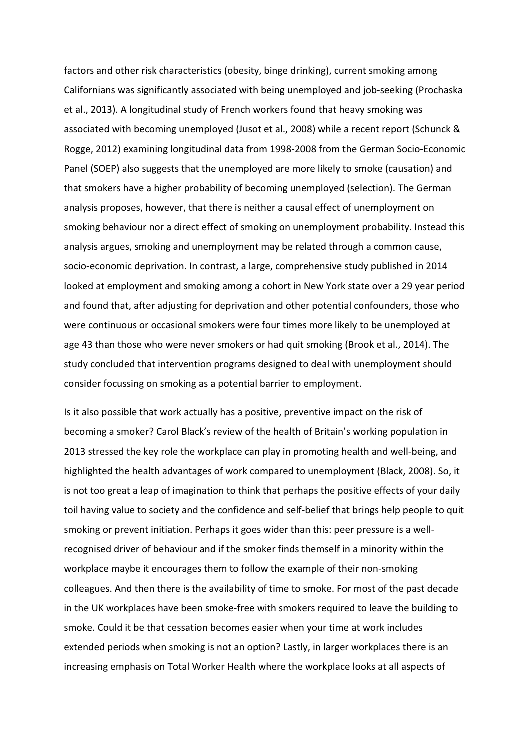factors and other risk characteristics (obesity, binge drinking), current smoking among Californians was significantly associated with being unemployed and job-seeking (Prochaska et al., 2013). A longitudinal study of French workers found that heavy smoking was associated with becoming unemployed (Jusot et al., 2008) while a recent report (Schunck & Rogge, 2012) examining longitudinal data from 1998-2008 from the German Socio-Economic Panel (SOEP) also suggests that the unemployed are more likely to smoke (causation) and that smokers have a higher probability of becoming unemployed (selection). The German analysis proposes, however, that there is neither a causal effect of unemployment on smoking behaviour nor a direct effect of smoking on unemployment probability. Instead this analysis argues, smoking and unemployment may be related through a common cause, socio-economic deprivation. In contrast, a large, comprehensive study published in 2014 looked at employment and smoking among a cohort in New York state over a 29 year period and found that, after adjusting for deprivation and other potential confounders, those who were continuous or occasional smokers were four times more likely to be unemployed at age 43 than those who were never smokers or had quit smoking (Brook et al., 2014). The study concluded that intervention programs designed to deal with unemployment should consider focussing on smoking as a potential barrier to employment.

Is it also possible that work actually has a positive, preventive impact on the risk of becoming a smoker? Carol Black's review of the health of Britain's working population in 2013 stressed the key role the workplace can play in promoting health and well-being, and highlighted the health advantages of work compared to unemployment (Black, 2008). So, it is not too great a leap of imagination to think that perhaps the positive effects of your daily toil having value to society and the confidence and self-belief that brings help people to quit smoking or prevent initiation. Perhaps it goes wider than this: peer pressure is a wellrecognised driver of behaviour and if the smoker finds themself in a minority within the workplace maybe it encourages them to follow the example of their non-smoking colleagues. And then there is the availability of time to smoke. For most of the past decade in the UK workplaces have been smoke-free with smokers required to leave the building to smoke. Could it be that cessation becomes easier when your time at work includes extended periods when smoking is not an option? Lastly, in larger workplaces there is an increasing emphasis on Total Worker Health where the workplace looks at all aspects of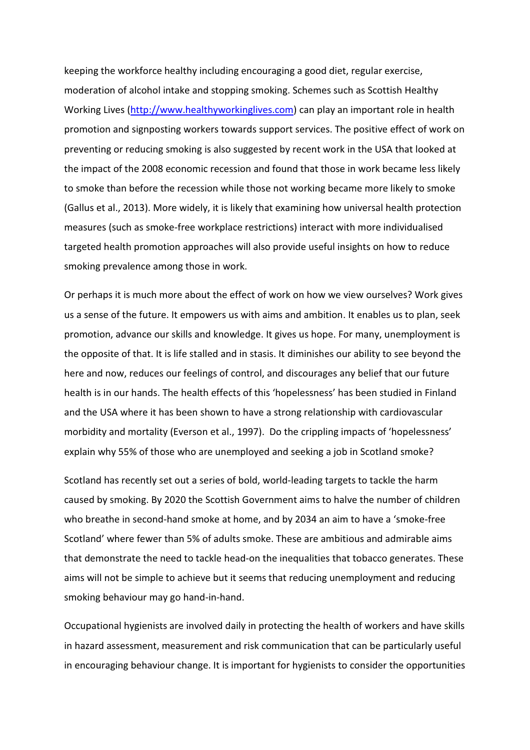keeping the workforce healthy including encouraging a good diet, regular exercise, moderation of alcohol intake and stopping smoking. Schemes such as Scottish Healthy Working Lives (http://www.healthyworkinglives.com) can play an important role in health promotion and signposting workers towards support services. The positive effect of work on preventing or reducing smoking is also suggested by recent work in the USA that looked at the impact of the 2008 economic recession and found that those in work became less likely to smoke than before the recession while those not working became more likely to smoke (Gallus et al., 2013). More widely, it is likely that examining how universal health protection measures (such as smoke-free workplace restrictions) interact with more individualised targeted health promotion approaches will also provide useful insights on how to reduce smoking prevalence among those in work.

Or perhaps it is much more about the effect of work on how we view ourselves? Work gives us a sense of the future. It empowers us with aims and ambition. It enables us to plan, seek promotion, advance our skills and knowledge. It gives us hope. For many, unemployment is the opposite of that. It is life stalled and in stasis. It diminishes our ability to see beyond the here and now, reduces our feelings of control, and discourages any belief that our future health is in our hands. The health effects of this 'hopelessness' has been studied in Finland and the USA where it has been shown to have a strong relationship with cardiovascular morbidity and mortality (Everson et al., 1997). Do the crippling impacts of 'hopelessness' explain why 55% of those who are unemployed and seeking a job in Scotland smoke?

Scotland has recently set out a series of bold, world-leading targets to tackle the harm caused by smoking. By 2020 the Scottish Government aims to halve the number of children who breathe in second-hand smoke at home, and by 2034 an aim to have a 'smoke-free Scotland' where fewer than 5% of adults smoke. These are ambitious and admirable aims that demonstrate the need to tackle head-on the inequalities that tobacco generates. These aims will not be simple to achieve but it seems that reducing unemployment and reducing smoking behaviour may go hand-in-hand.

Occupational hygienists are involved daily in protecting the health of workers and have skills in hazard assessment, measurement and risk communication that can be particularly useful in encouraging behaviour change. It is important for hygienists to consider the opportunities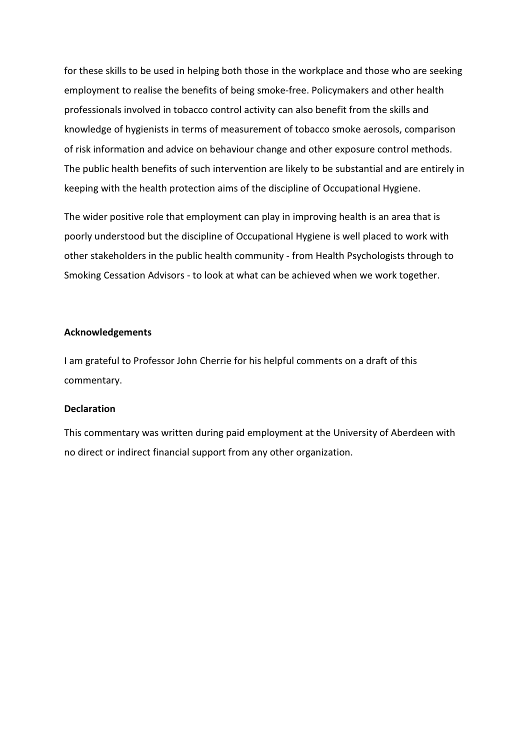for these skills to be used in helping both those in the workplace and those who are seeking employment to realise the benefits of being smoke-free. Policymakers and other health professionals involved in tobacco control activity can also benefit from the skills and knowledge of hygienists in terms of measurement of tobacco smoke aerosols, comparison of risk information and advice on behaviour change and other exposure control methods. The public health benefits of such intervention are likely to be substantial and are entirely in keeping with the health protection aims of the discipline of Occupational Hygiene.

The wider positive role that employment can play in improving health is an area that is poorly understood but the discipline of Occupational Hygiene is well placed to work with other stakeholders in the public health community - from Health Psychologists through to Smoking Cessation Advisors - to look at what can be achieved when we work together.

#### Acknowledgements

I am grateful to Professor John Cherrie for his helpful comments on a draft of this commentary.

## **Declaration**

This commentary was written during paid employment at the University of Aberdeen with no direct or indirect financial support from any other organization.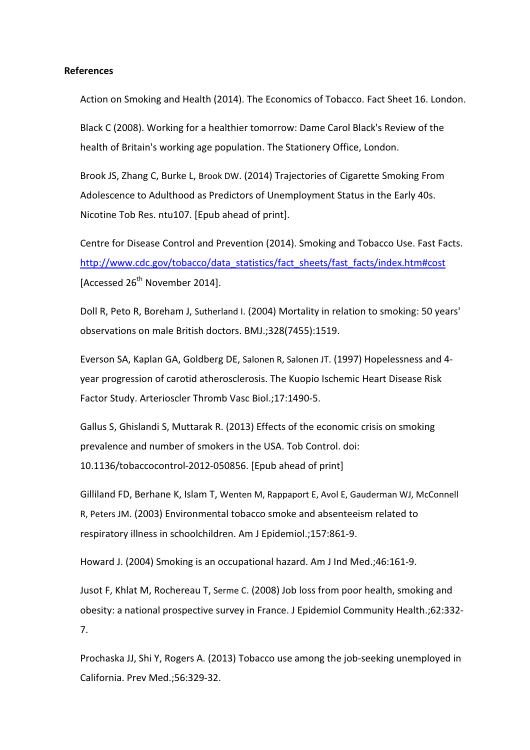## References

Action on Smoking and Health (2014). The Economics of Tobacco. Fact Sheet 16. London.

Black C (2008). Working for a healthier tomorrow: Dame Carol Black's Review of the health of Britain's working age population. The Stationery Office, London.

Brook JS, Zhang C, Burke L, Brook DW. (2014) Trajectories of Cigarette Smoking From Adolescence to Adulthood as Predictors of Unemployment Status in the Early 40s. Nicotine Tob Res. ntu107. [Epub ahead of print].

Centre for Disease Control and Prevention (2014). Smoking and Tobacco Use. Fast Facts. http://www.cdc.gov/tobacco/data\_statistics/fact\_sheets/fast\_facts/index.htm#cost [Accessed 26<sup>th</sup> November 2014].

Doll R, Peto R, Boreham J, Sutherland I. (2004) Mortality in relation to smoking: 50 years' observations on male British doctors. BMJ.;328(7455):1519.

Everson SA, Kaplan GA, Goldberg DE, Salonen R, Salonen JT. (1997) Hopelessness and 4 year progression of carotid atherosclerosis. The Kuopio Ischemic Heart Disease Risk Factor Study. Arterioscler Thromb Vasc Biol.;17:1490-5.

Gallus S, Ghislandi S, Muttarak R. (2013) Effects of the economic crisis on smoking prevalence and number of smokers in the USA. Tob Control. doi: 10.1136/tobaccocontrol-2012-050856. [Epub ahead of print]

Gilliland FD, Berhane K, Islam T, Wenten M, Rappaport E, Avol E, Gauderman WJ, McConnell R, Peters JM. (2003) Environmental tobacco smoke and absenteeism related to respiratory illness in schoolchildren. Am J Epidemiol.;157:861-9.

Howard J. (2004) Smoking is an occupational hazard. Am J Ind Med.;46:161-9.

Jusot F, Khlat M, Rochereau T, Serme C. (2008) Job loss from poor health, smoking and obesity: a national prospective survey in France. J Epidemiol Community Health.;62:332- 7.

Prochaska JJ, Shi Y, Rogers A. (2013) Tobacco use among the job-seeking unemployed in California. Prev Med.;56:329-32.